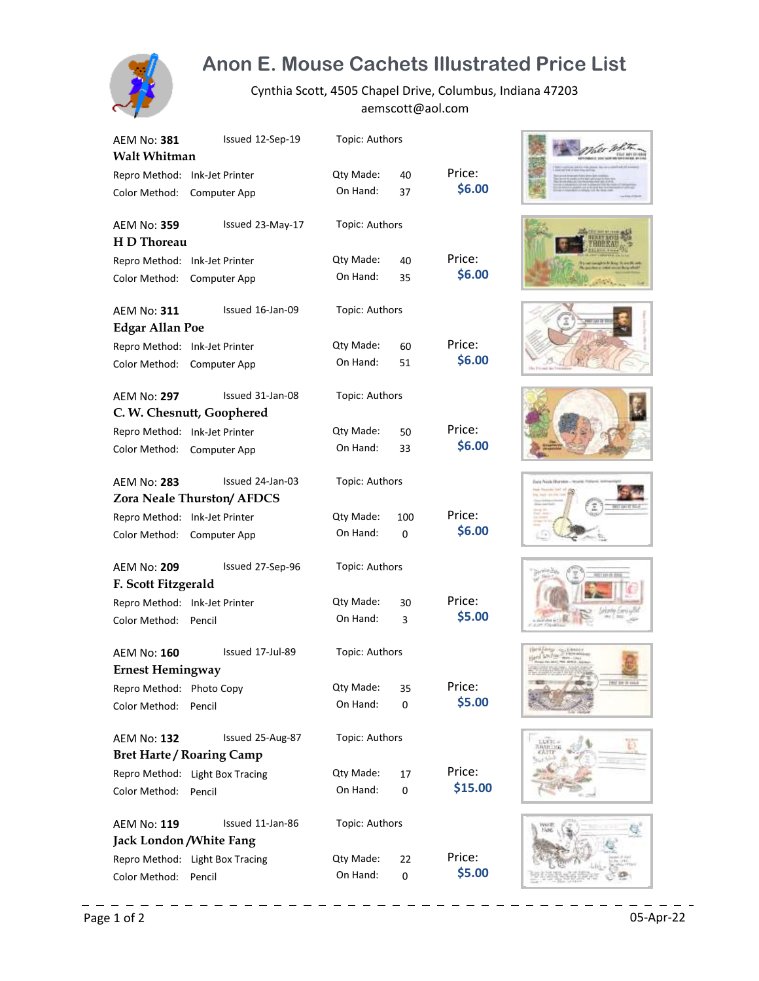

## **Anon E. Mouse Cachets Illustrated Price List**

Cynthia Scott, 4505 Chapel Drive, Columbus, Indiana 47203 aemscott@aol.com

| AEM No: <b>381</b>            | Issued 12-Sep-19                  | Topic: Authors |     |         |
|-------------------------------|-----------------------------------|----------------|-----|---------|
| <b>Walt Whitman</b>           |                                   |                |     |         |
| Repro Method:                 | Ink-Jet Printer                   | Qty Made:      | 40  | Price:  |
| Color Method:                 | Computer App                      | On Hand:       | 37  | \$6.00  |
| <b>AEM No: 359</b>            | Issued 23-May-17                  | Topic: Authors |     |         |
| H D Thoreau                   |                                   |                |     |         |
| Repro Method:                 | Ink-Jet Printer                   | Qty Made:      | 40  | Price:  |
| Color Method:                 | Computer App                      | On Hand:       | 35  | \$6.00  |
| AEM No: 311                   | Issued 16-Jan-09                  | Topic: Authors |     |         |
| <b>Edgar Allan Poe</b>        |                                   |                |     |         |
| Repro Method:                 | Ink-Jet Printer                   | Qty Made:      | 60  | Price:  |
| Color Method:                 | Computer App                      | On Hand:       | 51  | \$6.00  |
| <b>AEM No: 297</b>            | Issued 31-Jan-08                  | Topic: Authors |     |         |
|                               | C. W. Chesnutt, Goophered         |                |     |         |
| Repro Method:                 | Ink-Jet Printer                   | Qty Made:      | 50  | Price:  |
| Color Method:                 | Computer App                      | On Hand:       | 33  | \$6.00  |
| AEM No: 283                   | Issued 24-Jan-03                  | Topic: Authors |     |         |
|                               | <b>Zora Neale Thurston/ AFDCS</b> |                |     |         |
| Repro Method:                 | Ink-Jet Printer                   | Qty Made:      | 100 | Price:  |
| Color Method:                 | Computer App                      | On Hand:       | 0   | \$6.00  |
| <b>AEM No: 209</b>            | Issued 27-Sep-96                  | Topic: Authors |     |         |
| F. Scott Fitzgerald           |                                   |                |     |         |
| Repro Method: Ink-Jet Printer |                                   | Qty Made:      | 30  | Price:  |
| Color Method:                 | Pencil                            | On Hand:       | 3   | \$5.00  |
| <b>AEM No: 160</b>            | Issued 17-Jul-89                  | Topic: Authors |     |         |
| <b>Ernest Hemingway</b>       |                                   |                |     |         |
| Repro Method: Photo Copy      |                                   | Qty Made:      | 35  | Price:  |
| Color Method:                 | Pencil                            | On Hand:       | 0   | \$5.00  |
| <b>AEM No: 132</b>            | Issued 25-Aug-87                  | Topic: Authors |     |         |
|                               | <b>Bret Harte / Roaring Camp</b>  |                |     |         |
|                               | Repro Method: Light Box Tracing   | Qty Made:      | 17  | Price:  |
| Color Method:                 | Pencil                            | On Hand:       | 0   | \$15.00 |
| <b>AEM No: 119</b>            | Issued 11-Jan-86                  | Topic: Authors |     |         |
| Jack London / White Fang      |                                   |                |     |         |
|                               | Repro Method: Light Box Tracing   | Qty Made:      | 22  | Price:  |
| Color Method:                 | Pencil                            | On Hand:       | 0   | \$5.00  |